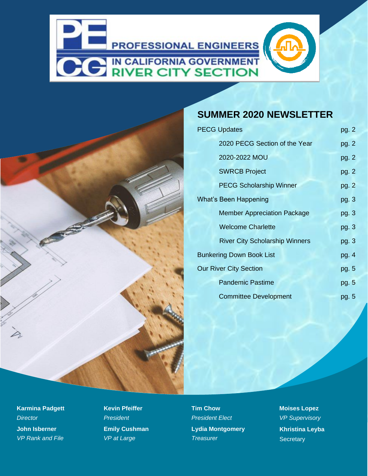

### **SUMMER 2020 NEWSLETTER**

| <b>PECG Updates</b>             |                                       | pg. 2 |
|---------------------------------|---------------------------------------|-------|
|                                 | 2020 PECG Section of the Year         | pg. 2 |
|                                 | 2020-2022 MOU                         | pg. 2 |
|                                 | <b>SWRCB Project</b>                  | pg. 2 |
|                                 | <b>PECG Scholarship Winner</b>        | pg. 2 |
| <b>What's Been Happening</b>    |                                       | pg. 3 |
|                                 | <b>Member Appreciation Package</b>    | pg. 3 |
|                                 | <b>Welcome Charlette</b>              | pg. 3 |
|                                 | <b>River City Scholarship Winners</b> | pg. 3 |
| <b>Bunkering Down Book List</b> |                                       | pg. 4 |
| <b>Our River City Section</b>   |                                       | pg. 5 |
|                                 | <b>Pandemic Pastime</b>               | pg. 5 |
|                                 | <b>Committee Development</b>          | pg. 5 |

**Karmina Padgett** *Director* **John Isberner** *VP Rank and File*  **Kevin Pfeiffer** *President* **Emily Cushman** *VP at Large*

**Tim Chow** *President Elect* **Lydia Montgomery** *Treasurer*

**Moises Lopez** *VP Supervisory* **Khristina Leyba Secretary**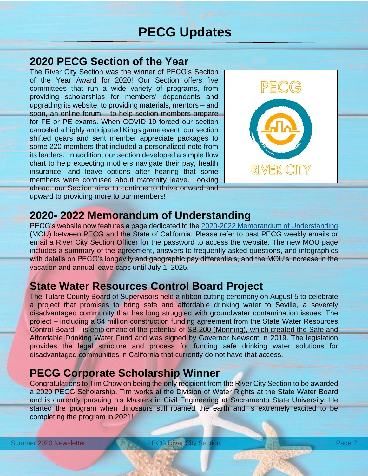# **PECG Updates**

#### **2020 PECG Section of the Year**

The River City Section was the winner of PECG's Section of the Year Award for 2020! Our Section offers five committees that run a wide variety of programs, from providing scholarships for members' dependents and upgrading its website, to providing materials, mentors – and soon, an online forum – to help section members prepare for FE or PE exams. When COVID-19 forced our section canceled a highly anticipated Kings game event, our section shifted gears and sent member appreciate packages to some 220 members that included a personalized note from its leaders. In addition, our section developed a simple flow chart to help expecting mothers navigate their pay, health insurance, and leave options after hearing that some members were confused about maternity leave. Looking ahead, our Section aims to continue to thrive onward and upward to providing more to our members!



### **2020- 2022 Memorandum of Understanding**

PECG's website now features a page dedicated to the [2020-2022 Memorandum of Understanding](http://pecg.org/2020-mou/) (MOU) between PECG and the State of California. Please refer to past PECG weekly emails or email a River City Section Officer for the password to access the website. The new MOU page includes a summary of the agreement, answers to frequently asked questions, and infographics with details on PECG's longevity and geographic pay differentials, and the MOU's increase in the vacation and annual leave caps until July 1, 2025.

# **State Water Resources Control Board Project**

The Tulare County Board of Supervisors held a ribbon cutting ceremony on August 5 to celebrate a project that promises to bring safe and affordable drinking water to Seville, a severely disadvantaged community that has long struggled with groundwater contamination issues. The project – including a \$4 million construction funding agreement from the State Water Resources Control Board – is emblematic of the potential of SB 200 (Monning), which created the Safe and Affordable Drinking Water Fund and was signed by Governor Newsom in 2019. The legislation provides the legal structure and process for funding safe drinking water solutions for disadvantaged communities in California that currently do not have that access.

## **PECG Corporate Scholarship Winner**

Congratulations to Tim Chow on being the only recipient from the River City Section to be awarded a 2020 PECG Scholarship. Tim works at the Division of Water Rights at the State Water Board and is currently pursuing his Masters in Civil Engineering at Sacramento State University. He started the program when dinosaurs still roamed the earth and is extremely excited to be completing the program in 2021!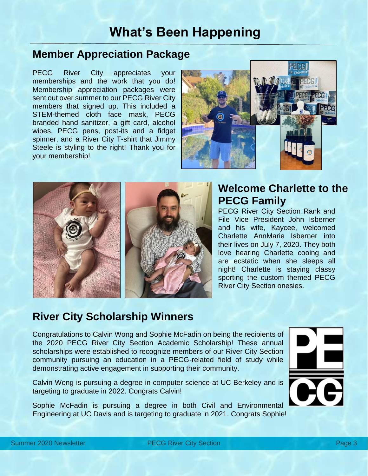# **What's Been Happening**

#### **Member Appreciation Package**

PECG River City appreciates your memberships and the work that you do! Membership appreciation packages were sent out over summer to our PECG River City members that signed up. This included a STEM-themed cloth face mask, PECG branded hand sanitizer, a gift card, alcohol wipes, PECG pens, post-its and a fidget spinner, and a River City T-shirt that Jimmy Steele is styling to the right! Thank you for your membership!





## **Welcome Charlette to the PECG Family**

PECG River City Section Rank and File Vice President John Isberner and his wife, Kaycee, welcomed Charlette AnnMarie Isberner into their lives on July 7, 2020. They both love hearing Charlette cooing and are ecstatic when she sleeps all night! Charlette is staying classy sporting the custom themed PECG River City Section onesies.

# **River City Scholarship Winners**

Congratulations to Calvin Wong and Sophie McFadin on being the recipients of the 2020 PECG River City Section Academic Scholarship! These annual scholarships were established to recognize members of our River City Section community pursuing an education in a PECG-related field of study while demonstrating active engagement in supporting their community.

Calvin Wong is pursuing a degree in computer science at UC Berkeley and is targeting to graduate in 2022. Congrats Calvin!

Sophie McFadin is pursuing a degree in both Civil and Environmental Engineering at UC Davis and is targeting to graduate in 2021. Congrats Sophie!

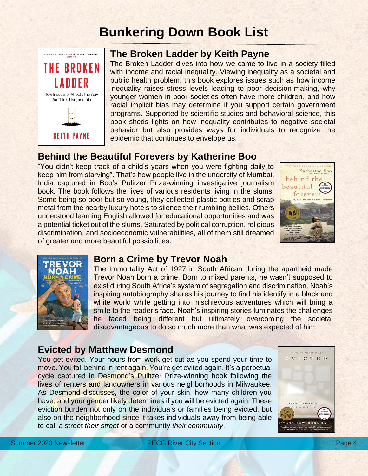# **Bunkering Down Book List**



#### **The Broken Ladder by Keith Payne**

The Broken Ladder dives into how we came to live in a society filled with income and racial inequality. Viewing inequality as a societal and public health problem, this book explores issues such as how income inequality raises stress levels leading to poor decision-making, why younger women in poor societies often have more children, and how racial implicit bias may determine if you support certain government programs. Supported by scientific studies and behavioral science, this book sheds lights on how inequality contributes to negative societal behavior but also provides ways for individuals to recognize the epidemic that continues to envelope us.

### **Behind the Beautiful Forevers by Katherine Boo**

"You didn't keep track of a child's years when you were fighting daily to keep him from starving". That's how people live in the undercity of Mumbai, India captured in Boo's Pulitzer Prize-winning investigative journalism book. The book follows the lives of various residents living in the slums. Some being so poor but so young, they collected plastic bottles and scrap metal from the nearby luxury hotels to silence their rumbling bellies. Others understood learning English allowed for educational opportunities and was a potential ticket out of the slums. Saturated by political corruption, religious discrimination, and socioeconomic vulnerabilities, all of them still dreamed of greater and more beautiful possibilities.





#### **Born a Crime by Trevor Noah**

The Immortality Act of 1927 in South African during the apartheid made Trevor Noah born a crime. Born to mixed parents, he wasn't supposed to exist during South Africa's system of segregation and discrimination. Noah's inspiring autobiography shares his journey to find his identify in a black and white world while getting into mischievous adventures which will bring a smile to the reader's face. Noah's inspiring stories luminates the challenges he faced being different but ultimately overcoming the societal disadvantageous to do so much more than what was expected of him.

#### **Evicted by Matthew Desmond**

You get evited. Your hours from work get cut as you spend your time to move. You fall behind in rent again. You're get evited again. It's a perpetual cycle captured in Desmond's Pulitzer Prize-winning book following the lives of renters and landowners in various neighborhoods in Milwaukee. As Desmond discusses, the color of your skin, how many children you have, and your gender likely determines if you will be evicted again. These eviction burden not only on the individuals or families being evicted, but also on the neighborhood since it takes individuals away from being able to call a street *their street* or a community *their community*.